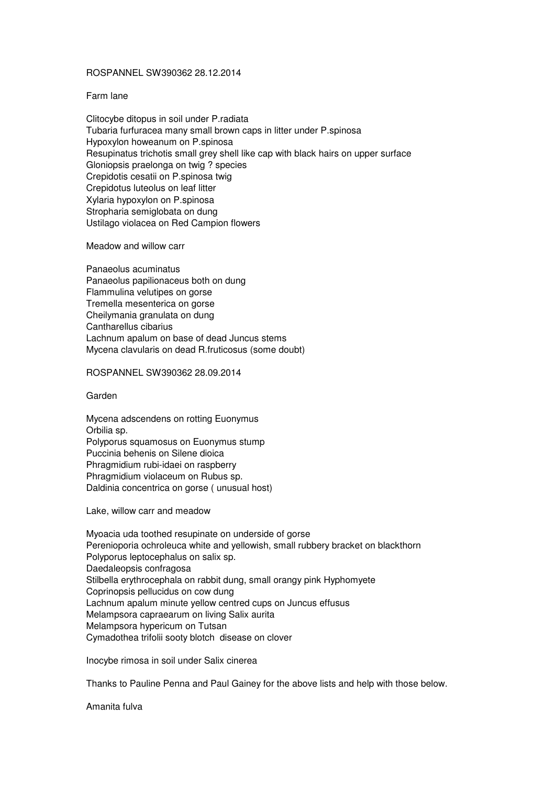# ROSPANNEL SW390362 28.12.2014

# Farm lane

Clitocybe ditopus in soil under P.radiata Tubaria furfuracea many small brown caps in litter under P.spinosa Hypoxylon howeanum on P.spinosa Resupinatus trichotis small grey shell like cap with black hairs on upper surface Gloniopsis praelonga on twig ? species Crepidotis cesatii on P.spinosa twig Crepidotus luteolus on leaf litter Xylaria hypoxylon on P.spinosa Stropharia semiglobata on dung Ustilago violacea on Red Campion flowers

### Meadow and willow carr

Panaeolus acuminatus Panaeolus papilionaceus both on dung Flammulina velutipes on gorse Tremella mesenterica on gorse Cheilymania granulata on dung Cantharellus cibarius Lachnum apalum on base of dead Juncus stems Mycena clavularis on dead R.fruticosus (some doubt)

### ROSPANNEL SW390362 28.09.2014

### Garden

Mycena adscendens on rotting Euonymus Orbilia sp. Polyporus squamosus on Euonymus stump Puccinia behenis on Silene dioica Phragmidium rubi-idaei on raspberry Phragmidium violaceum on Rubus sp. Daldinia concentrica on gorse ( unusual host)

Lake, willow carr and meadow

Myoacia uda toothed resupinate on underside of gorse Perenioporia ochroleuca white and yellowish, small rubbery bracket on blackthorn Polyporus leptocephalus on salix sp. Daedaleopsis confragosa Stilbella erythrocephala on rabbit dung, small orangy pink Hyphomyete Coprinopsis pellucidus on cow dung Lachnum apalum minute yellow centred cups on Juncus effusus Melampsora capraearum on living Salix aurita Melampsora hypericum on Tutsan Cymadothea trifolii sooty blotch disease on clover

Inocybe rimosa in soil under Salix cinerea

Thanks to Pauline Penna and Paul Gainey for the above lists and help with those below.

Amanita fulva